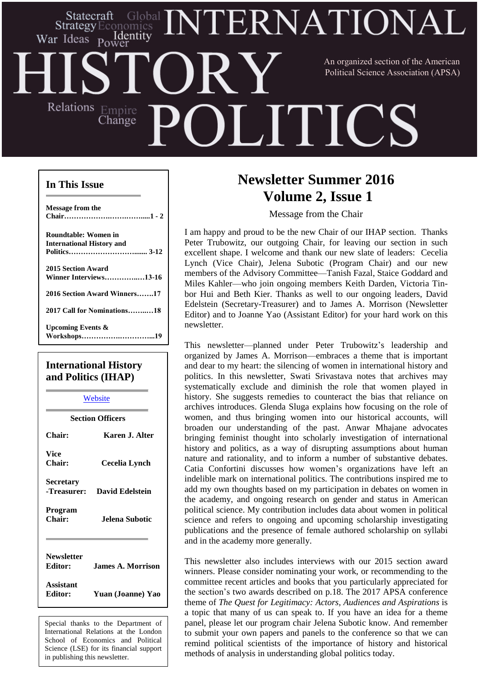## ERNATIONAI Statecraft **Strategy** Economics Identity War Ideas Power An organized section of the American Political Science Association (APSA)Relations Empire **LITICS** Change

### **In This Issue**

| Message from the                 |
|----------------------------------|
|                                  |
|                                  |
| Roundtable: Women in             |
| <b>International History and</b> |
|                                  |
|                                  |
| 2015 Section Award               |
| Winner Interviews13-16           |
|                                  |
| 2016 Section Award Winners17     |
|                                  |
| 2017 Call for Nominations18      |
|                                  |
| <b>Upcoming Events &amp;</b>     |
|                                  |
|                                  |

### **International History and Politics (IHAP)**

| Website                      |                          |  |
|------------------------------|--------------------------|--|
| <b>Section Officers</b>      |                          |  |
| <b>Chair:</b>                | Karen J. Alter           |  |
| <b>Vice</b><br><b>Chair:</b> | Cecelia Lynch            |  |
| Secretary<br>-Treasurer:     | David Edelstein          |  |
| Program<br>Chair:            | Jelena Subotic           |  |
| <b>Newsletter</b><br>Editor: | <b>James A. Morrison</b> |  |
| Assistant<br>Editor:         | Yuan (Joanne) Yao        |  |

Special thanks to the Department of International Relations at the London School of Economics and Political Science (LSE) for its financial support in publishing this newsletter.

# **Newsletter Summer 2016 Volume 2, Issue 1**

Message from the Chair

I am happy and proud to be the new Chair of our IHAP section. Thanks Peter Trubowitz, our outgoing Chair, for leaving our section in such excellent shape. I welcome and thank our new slate of leaders: Cecelia Lynch (Vice Chair), Jelena Subotic (Program Chair) and our new members of the Advisory Committee—Tanish Fazal, Staice Goddard and Miles Kahler—who join ongoing members Keith Darden, Victoria Tinbor Hui and Beth Kier. Thanks as well to our ongoing leaders, David Edelstein (Secretary-Treasurer) and to James A. Morrison (Newsletter Editor) and to Joanne Yao (Assistant Editor) for your hard work on this newsletter.

This newsletter—planned under Peter Trubowitz's leadership and organized by James A. Morrison—embraces a theme that is important and dear to my heart: the silencing of women in international history and politics. In this newsletter, Swati Srivastava notes that archives may systematically exclude and diminish the role that women played in history. She suggests remedies to counteract the bias that reliance on archives introduces. Glenda Sluga explains how focusing on the role of women, and thus bringing women into our historical accounts, will broaden our understanding of the past. Anwar Mhajane advocates bringing feminist thought into scholarly investigation of international history and politics, as a way of disrupting assumptions about human nature and rationality, and to inform a number of substantive debates. Catia Confortini discusses how women's organizations have left an indelible mark on international politics. The contributions inspired me to add my own thoughts based on my participation in debates on women in the academy, and ongoing research on gender and status in American political science. My contribution includes data about women in political science and refers to ongoing and upcoming scholarship investigating publications and the presence of female authored scholarship on syllabi and in the academy more generally.

remind political scientists of the importance of history and historical This newsletter also includes interviews with our 2015 section award winners. Please consider nominating your work, or recommending to the committee recent articles and books that you particularly appreciated for the section's two awards described on p.18. The 2017 APSA conference theme of *The Quest for Legitimacy: Actors, Audiences and Aspirations* is a topic that many of us can speak to. If you have an idea for a theme panel, please let our program chair Jelena Subotic know. And remember to submit your own papers and panels to the conference so that we can methods of analysis in understanding global politics today.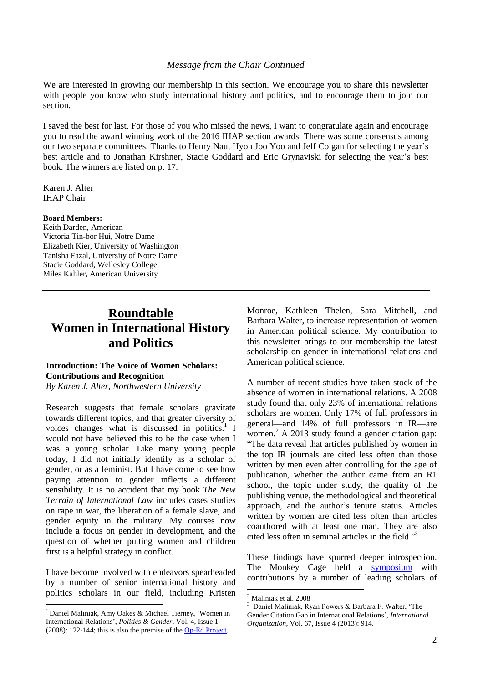#### *Message from the Chair Continued*

We are interested in growing our membership in this section. We encourage you to share this newsletter with people you know who study international history and politics, and to encourage them to join our section.

I saved the best for last. For those of you who missed the news, I want to congratulate again and encourage you to read the award winning work of the 2016 IHAP section awards. There was some consensus among our two separate committees. Thanks to Henry Nau, Hyon Joo Yoo and Jeff Colgan for selecting the year's best article and to Jonathan Kirshner, Stacie Goddard and Eric Grynaviski for selecting the year's best book. The winners are listed on p. 17.

Karen J. Alter IHAP Chair

#### **Board Members:**

Keith Darden, American Victoria Tin-bor Hui, Notre Dame Elizabeth Kier, University of Washington Tanisha Fazal, University of Notre Dame Stacie Goddard, Wellesley College Miles Kahler, American University

## **Roundtable Women in International History and Politics**

### **Introduction: The Voice of Women Scholars: Contributions and Recognition**

*By Karen J. Alter, Northwestern University*

Research suggests that female scholars gravitate towards different topics, and that greater diversity of voices changes what is discussed in politics.<sup>1</sup> I would not have believed this to be the case when I was a young scholar. Like many young people today, I did not initially identify as a scholar of gender, or as a feminist. But I have come to see how paying attention to gender inflects a different sensibility. It is no accident that my book *The New Terrain of International Law* includes cases studies on rape in war, the liberation of a female slave, and gender equity in the military. My courses now include a focus on gender in development, and the question of whether putting women and children first is a helpful strategy in conflict.

I have become involved with endeavors spearheaded by a number of senior international history and politics scholars in our field, including Kristen

<u>.</u>

Monroe, Kathleen Thelen, Sara Mitchell, and Barbara Walter, to increase representation of women in American political science. My contribution to this newsletter brings to our membership the latest scholarship on gender in international relations and American political science.

A number of recent studies have taken stock of the absence of women in international relations. A 2008 study found that only 23% of international relations scholars are women. Only 17% of full professors in general—and 14% of full professors in IR—are women.<sup>2</sup> A 2013 study found a gender citation gap: "The data reveal that articles published by women in the top IR journals are cited less often than those written by men even after controlling for the age of publication, whether the author came from an R1 school, the topic under study, the quality of the publishing venue, the methodological and theoretical approach, and the author's tenure status. Articles written by women are cited less often than articles coauthored with at least one man. They are also cited less often in seminal articles in the field."<sup>3</sup>

These findings have spurred deeper introspection. The Monkey Cage held a [symposium](https://www.washingtonpost.com/news/monkey-cage/wp/2013/09/30/introducing-the-monkey-cage-gender-gap-symposium/) with contributions by a number of leading scholars of

<u>.</u>

 $1$  Daniel Maliniak, Amy Oakes & Michael Tierney, 'Women in International Relations', *Politics & Gender*, Vol. 4, Issue 1 (2008): 122-144; this is also the premise of th[e Op-Ed Project.](http://www.theopedproject.org/)

<sup>2</sup> Maliniak et al. 2008

<sup>3</sup> Daniel Maliniak, Ryan Powers & Barbara F. Walter, 'The Gender Citation Gap in International Relations', *International Organization*, Vol. 67, Issue 4 (2013): 914.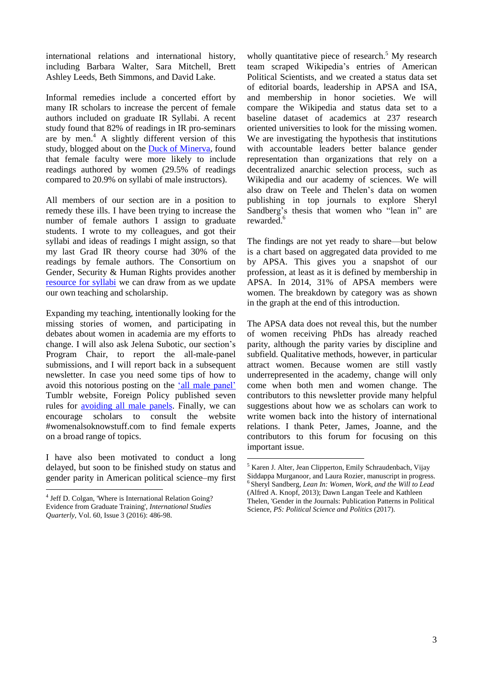international relations and international history, including Barbara Walter, Sara Mitchell, Brett Ashley Leeds, Beth Simmons, and David Lake.

Informal remedies include a concerted effort by many IR scholars to increase the percent of female authors included on graduate IR Syllabi. A recent study found that 82% of readings in IR pro-seminars are by men. $A$  A slightly different version of this study, blogged about on the Duck of [Minerva,](http://duckofminerva.com/2015/08/new-evidence-on-gender-bias-in-ir-syllabi.html) found that female faculty were more likely to include readings authored by women (29.5% of readings compared to 20.9% on syllabi of male instructors).

All members of our section are in a position to remedy these ills. I have been trying to increase the number of female authors I assign to graduate students. I wrote to my colleagues, and got their syllabi and ideas of readings I might assign, so that my last Grad IR theory course had 30% of the readings by female authors. The Consortium on Gender, Security & Human Rights provides another [resource](http://genderandsecurity.org/projects-resources/syllabus-collection) for syllabi we can draw from as we update our own teaching and scholarship.

Expanding my teaching, intentionally looking for the missing stories of women, and participating in debates about women in academia are my efforts to change. I will also ask Jelena Subotic, our section's Program Chair, to report the all-male-panel submissions, and I will report back in a subsequent newsletter. In case you need some tips of how to avoid this notorious posting on the 'all male [panel'](http://allmalepanels.tumblr.com/) Tumblr website, Foreign Policy published seven rules for [avoiding](http://foreignpolicy.com/2016/03/08/7-rules-for-avoiding-all-male-panels/) all male panels. Finally, we can encourage scholars to consult the website #womenalsoknowstuff.com to find female experts on a broad range of topics.

I have also been motivated to conduct a long delayed, but soon to be finished study on status and gender parity in American political science–my first

1

wholly quantitative piece of research.<sup>5</sup> My research team scraped Wikipedia's entries of American Political Scientists, and we created a status data set of editorial boards, leadership in APSA and ISA, and membership in honor societies. We will compare the Wikipedia and status data set to a baseline dataset of academics at 237 research oriented universities to look for the missing women. We are investigating the hypothesis that institutions with accountable leaders better balance gender representation than organizations that rely on a decentralized anarchic selection process, such as Wikipedia and our academy of sciences. We will also draw on Teele and Thelen's data on women publishing in top journals to explore Sheryl Sandberg's thesis that women who "lean in" are rewarded.<sup>6</sup>

The findings are not yet ready to share—but below is a chart based on aggregated data provided to me by APSA. This gives you a snapshot of our profession, at least as it is defined by membership in APSA. In 2014, 31% of APSA members were women. The breakdown by category was as shown in the graph at the end of this introduction.

The APSA data does not reveal this, but the number of women receiving PhDs has already reached parity, although the parity varies by discipline and subfield. Qualitative methods, however, in particular attract women. Because women are still vastly underrepresented in the academy, change will only come when both men and women change. The contributors to this newsletter provide many helpful suggestions about how we as scholars can work to write women back into the history of international relations. I thank Peter, James, Joanne, and the contributors to this forum for focusing on this important issue.

<sup>4</sup> Jeff D. Colgan, 'Where is International Relation Going? Evidence from Graduate Training', *International Studies Quarterly*, Vol. 60, Issue 3 (2016): 486-98.

<sup>5</sup> Karen J. Alter, Jean Clipperton, Emily Schraudenbach, Vijay Siddappa Murganoor, and Laura Rozier, manuscript in progress. 6 Sheryl Sandberg, *Lean In: Women, Work, and the Will to Lead* (Alfred A. Knopf, 2013); Dawn Langan Teele and Kathleen Thelen, 'Gender in the Journals: Publication Patterns in Political Science, *PS: Political Science and Politics* (2017).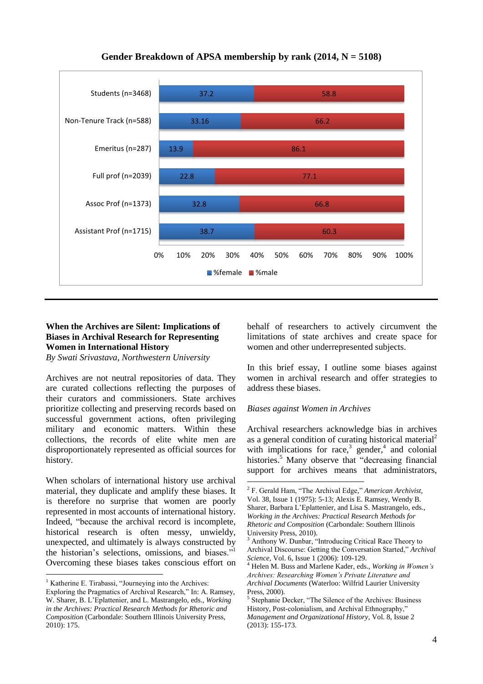

<u>.</u>

**Gender Breakdown of APSA membership by rank (2014, N = 5108)**

### **When the Archives are Silent: Implications of Biases in Archival Research for Representing Women in International History**

*By Swati Srivastava, Northwestern University*

Archives are not neutral repositories of data. They are curated collections reflecting the purposes of their curators and commissioners. State archives prioritize collecting and preserving records based on successful government actions, often privileging military and economic matters. Within these collections, the records of elite white men are disproportionately represented as official sources for history.

When scholars of international history use archival material, they duplicate and amplify these biases. It is therefore no surprise that women are poorly represented in most accounts of international history. Indeed, "because the archival record is incomplete, historical research is often messy, unwieldy, unexpected, and ultimately is always constructed by the historian's selections, omissions, and biases."<sup>1</sup> Overcoming these biases takes conscious effort on

<u>.</u>

behalf of researchers to actively circumvent the limitations of state archives and create space for women and other underrepresented subjects.

In this brief essay, I outline some biases against women in archival research and offer strategies to address these biases.

#### *Biases against Women in Archives*

Archival researchers acknowledge bias in archives as a general condition of curating historical material<sup>2</sup> with implications for race, $3$  gender, $4$  and colonial histories.<sup>5</sup> Many observe that "decreasing financial support for archives means that administrators,

 $<sup>1</sup>$  Katherine E. Tirabassi, "Journeying into the Archives:</sup>

Exploring the Pragmatics of Archival Research," In: A. Ramsey, W. Sharer, B. L'Eplattenier, and L. Mastrangelo, eds., *Working in the Archives: Practical Research Methods for Rhetoric and Composition* (Carbondale: Southern Illinois University Press, 2010): 175.

<sup>2</sup> F. Gerald Ham, "The Archival Edge," *American Archivist,* Vol. 38, Issue 1 (1975): 5-13; Alexis E. Ramsey, Wendy B. Sharer, Barbara L'Eplattenier, and Lisa S. Mastrangelo, eds., *Working in the Archives: Practical Research Methods for Rhetoric and Composition* (Carbondale: Southern Illinois University Press, 2010).

Anthony W. Dunbar, "Introducing Critical Race Theory to Archival Discourse: Getting the Conversation Started," *Archival Science,* Vol. 6, Issue 1 (2006): 109-129.

<sup>4</sup> Helen M. Buss and Marlene Kader, eds., *Working in Women's Archives: Researching Women's Private Literature and Archival Documents* (Waterloo: Wilfrid Laurier University Press, 2000).

<sup>5</sup> Stephanie Decker, "The Silence of the Archives: Business History, Post-colonialism, and Archival Ethnography," *Management and Organizational History,* Vol. 8, Issue 2 (2013): 155-173.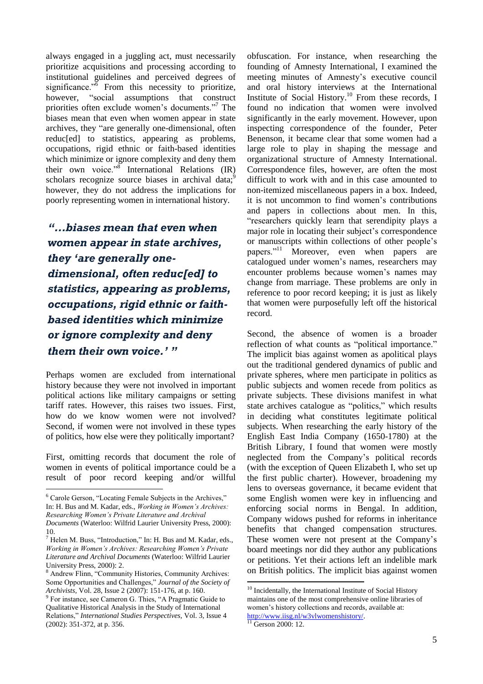always engaged in a juggling act, must necessarily prioritize acquisitions and processing according to institutional guidelines and perceived degrees of significance." $\overline{6}$  From this necessity to prioritize, however, "social assumptions that construct priorities often exclude women's documents."<sup>7</sup> The biases mean that even when women appear in state archives, they "are generally one-dimensional, often reduc[ed] to statistics, appearing as problems, occupations, rigid ethnic or faith-based identities which minimize or ignore complexity and deny them their own voice."<sup>8</sup> International Relations (IR) scholars recognize source biases in archival data; $\frac{9}{2}$ however, they do not address the implications for poorly representing women in international history.

*"...biases mean that even when women appear in state archives, they 'are generally onedimensional, often reduc[ed] to statistics, appearing as problems, occupations, rigid ethnic or faithbased identities which minimize or ignore complexity and deny them their own voice.' "*

Perhaps women are excluded from international history because they were not involved in important political actions like military campaigns or setting tariff rates. However, this raises two issues. First, how do we know women were not involved? Second, if women were not involved in these types of politics, how else were they politically important?

First, omitting records that document the role of women in events of political importance could be a result of poor record keeping and/or willful

<u>.</u>

obfuscation. For instance, when researching the founding of Amnesty International, I examined the meeting minutes of Amnesty's executive council and oral history interviews at the International Institute of Social History.<sup>10</sup> From these records, I found no indication that women were involved significantly in the early movement. However, upon inspecting correspondence of the founder, Peter Benenson, it became clear that some women had a large role to play in shaping the message and organizational structure of Amnesty International. Correspondence files, however, are often the most difficult to work with and in this case amounted to non-itemized miscellaneous papers in a box. Indeed, it is not uncommon to find women's contributions and papers in collections about men. In this, "researchers quickly learn that serendipity plays a major role in locating their subject's correspondence or manuscripts within collections of other people's papers."<sup>11</sup> Moreover, even when papers are catalogued under women's names, researchers may encounter problems because women's names may change from marriage. These problems are only in reference to poor record keeping; it is just as likely that women were purposefully left off the historical record.

Second, the absence of women is a broader reflection of what counts as "political importance." The implicit bias against women as apolitical plays out the traditional gendered dynamics of public and private spheres, where men participate in politics as public subjects and women recede from politics as private subjects. These divisions manifest in what state archives catalogue as "politics," which results in deciding what constitutes legitimate political subjects. When researching the early history of the English East India Company (1650-1780) at the British Library, I found that women were mostly neglected from the Company's political records (with the exception of Queen Elizabeth I, who set up the first public charter). However, broadening my lens to overseas governance, it became evident that some English women were key in influencing and enforcing social norms in Bengal. In addition, Company widows pushed for reforms in inheritance benefits that changed compensation structures. These women were not present at the Company's board meetings nor did they author any publications or petitions. Yet their actions left an indelible mark on British politics. The implicit bias against women

<sup>6</sup> Carole Gerson, "Locating Female Subjects in the Archives," In: H. Bus and M. Kadar, eds., *Working in Women's Archives: Researching Women's Private Literature and Archival* 

*Documents* (Waterloo: Wilfrid Laurier University Press, 2000): 10.

 $<sup>7</sup>$  Helen M. Buss, "Introduction," In: H. Bus and M. Kadar, eds.,</sup> *Working in Women's Archives: Researching Women's Private Literature and Archival Documents* (Waterloo: Wilfrid Laurier University Press, 2000): 2.

<sup>8</sup> Andrew Flinn, "Community Histories, Community Archives: Some Opportunities and Challenges," *Journal of the Society of Archivists,* Vol. 28, Issue 2 (2007): 151-176, at p. 160.

<sup>&</sup>lt;sup>9</sup> For instance, see Cameron G. Thies, "A Pragmatic Guide to Qualitative Historical Analysis in the Study of International Relations," *International Studies Perspectives,* Vol. 3, Issue 4 (2002): 351-372, at p. 356.

 $10$  Incidentally, the International Institute of Social History maintains one of the most comprehensive online libraries of women's history collections and records, available at: [http://www.iisg.nl/w3vlwomenshistory/.](http://www.iisg.nl/w3vlwomenshistory/)

 $\frac{11}{11}$  Gerson 2000: 12.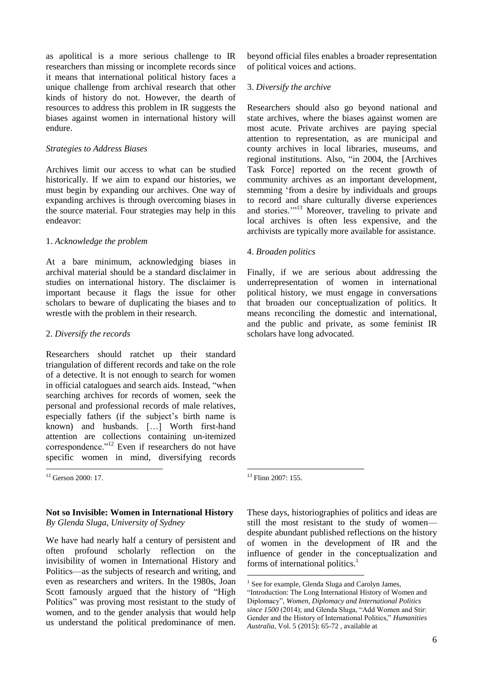as apolitical is a more serious challenge to IR researchers than missing or incomplete records since it means that international political history faces a unique challenge from archival research that other kinds of history do not. However, the dearth of resources to address this problem in IR suggests the biases against women in international history will endure.

#### *Strategies to Address Biases*

Archives limit our access to what can be studied historically. If we aim to expand our histories, we must begin by expanding our archives. One way of expanding archives is through overcoming biases in the source material. Four strategies may help in this endeavor:

#### 1. *Acknowledge the problem*

At a bare minimum, acknowledging biases in archival material should be a standard disclaimer in studies on international history. The disclaimer is important because it flags the issue for other scholars to beware of duplicating the biases and to wrestle with the problem in their research.

#### 2. *Diversify the records*

Researchers should ratchet up their standard triangulation of different records and take on the role of a detective. It is not enough to search for women in official catalogues and search aids. Instead, "when searching archives for records of women, seek the personal and professional records of male relatives, especially fathers (if the subject's birth name is known) and husbands. […] Worth first-hand attention are collections containing un-itemized correspondence."<sup>12</sup> Even if researchers do not have specific women in mind, diversifying records

<sup>12</sup> Gerson 2000: 17.

1

#### **Not so Invisible: Women in International History** *By Glenda Sluga, University of Sydney*

We have had nearly half a century of persistent and often profound scholarly reflection on the invisibility of women in International History and Politics—as the subjects of research and writing, and even as researchers and writers. In the 1980s, Joan Scott famously argued that the history of "High Politics" was proving most resistant to the study of women, and to the gender analysis that would help us understand the political predominance of men.

beyond official files enables a broader representation of political voices and actions.

#### 3. *Diversify the archive*

Researchers should also go beyond national and state archives, where the biases against women are most acute. Private archives are paying special attention to representation, as are municipal and county archives in local libraries, museums, and regional institutions. Also, "in 2004, the [Archives Task Force] reported on the recent growth of community archives as an important development, stemming 'from a desire by individuals and groups to record and share culturally diverse experiences and stories."<sup>13</sup> Moreover, traveling to private and local archives is often less expensive, and the archivists are typically more available for assistance.

#### 4. *Broaden politics*

Finally, if we are serious about addressing the underrepresentation of women in international political history, we must engage in conversations that broaden our conceptualization of politics. It means reconciling the domestic and international, and the public and private, as some feminist IR scholars have long advocated.

1 <sup>13</sup> Flinn 2007: 155.

These days, historiographies of politics and ideas are still the most resistant to the study of women despite abundant published reflections on the history of women in the development of IR and the influence of gender in the conceptualization and forms of international politics.<sup>1</sup>

<sup>1</sup> <sup>1</sup> See for example, Glenda Sluga and Carolyn James,

<sup>&</sup>quot;Introduction: The Long International History of Women and Diplomacy", *Women, Diplomacy and International Politics since 1500* (2014); and Glenda Sluga, "Add Women and Stir: Gender and the History of International Politics," *Humanities Australia*, Vol. 5 (2015): 65-72 , available at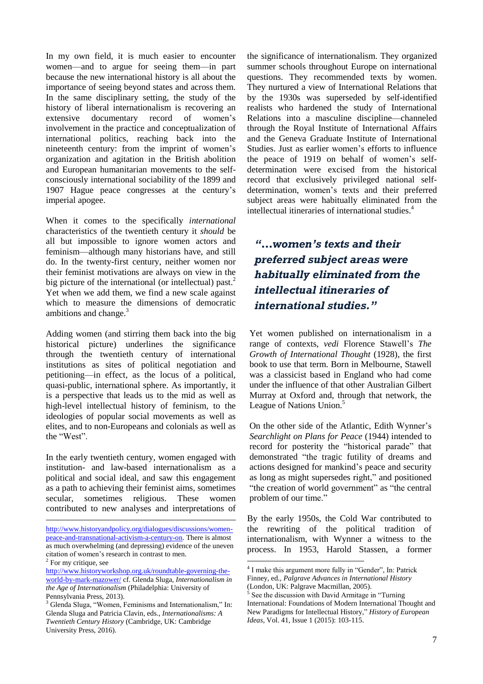In my own field, it is much easier to encounter women—and to argue for seeing them—in part because the new international history is all about the importance of seeing beyond states and across them. In the same disciplinary setting, the study of the history of liberal internationalism is recovering an extensive documentary record of women's involvement in the practice and conceptualization of international politics, reaching back into the nineteenth century: from the imprint of women's organization and agitation in the British abolition and European humanitarian movements to the selfconsciously international sociability of the 1899 and 1907 Hague peace congresses at the century's imperial apogee.

When it comes to the specifically *international* characteristics of the twentieth century it *should* be all but impossible to ignore women actors and feminism—although many historians have, and still do. In the twenty-first century, neither women nor their feminist motivations are always on view in the big picture of the international (or intellectual) past.<sup>2</sup> Yet when we add them, we find a new scale against which to measure the dimensions of democratic ambitions and change.<sup>3</sup>

Adding women (and stirring them back into the big historical picture) underlines the significance through the twentieth century of international institutions as sites of political negotiation and petitioning—in effect, as the locus of a political, quasi-public, international sphere. As importantly, it is a perspective that leads us to the mid as well as high-level intellectual history of feminism, to the ideologies of popular social movements as well as elites, and to non-Europeans and colonials as well as the "West".

In the early twentieth century, women engaged with institution- and law-based internationalism as a political and social ideal, and saw this engagement as a path to achieving their feminist aims, sometimes secular, sometimes religious. These women contributed to new analyses and interpretations of

<u>.</u>

the significance of internationalism. They organized summer schools throughout Europe on international questions. They recommended texts by women. They nurtured a view of International Relations that by the 1930s was superseded by self-identified realists who hardened the study of International Relations into a masculine discipline—channeled through the Royal Institute of International Affairs and the Geneva Graduate Institute of International Studies. Just as earlier women's efforts to influence the peace of 1919 on behalf of women's selfdetermination were excised from the historical record that exclusively privileged national selfdetermination, women's texts and their preferred subject areas were habitually eliminated from the intellectual itineraries of international studies.<sup>4</sup>

## *"…women's texts and their preferred subject areas were habitually eliminated from the intellectual itineraries of international studies."*

Yet women published on internationalism in a range of contexts, *vedi* Florence Stawell's *The Growth of International Thought* (1928), the first book to use that term. Born in Melbourne, Stawell was a classicist based in England who had come under the influence of that other Australian Gilbert Murray at Oxford and, through that network, the League of Nations Union.<sup>5</sup>

On the other side of the Atlantic, Edith Wynner's *Searchlight on Plans for Peace* (1944) intended to record for posterity the "historical parade" that demonstrated "the tragic futility of dreams and actions designed for mankind's peace and security as long as might supersedes right," and positioned "the creation of world government" as "the central problem of our time."

By the early 1950s, the Cold War contributed to the rewriting of the political tradition of internationalism, with Wynner a witness to the process. In 1953, Harold Stassen, a former

[http://www.historyandpolicy.org/dialogues/discussions/women](http://www.historyandpolicy.org/dialogues/discussions/women-peace-and-transnational-activism-a-century-on)[peace-and-transnational-activism-a-century-on.](http://www.historyandpolicy.org/dialogues/discussions/women-peace-and-transnational-activism-a-century-on) There is almost as much overwhelming (and depressing) evidence of the uneven citation of women's research in contrast to men.

<sup>&</sup>lt;sup>2</sup> For my critique, see

[http://www.historyworkshop.org.uk/roundtable-governing-the](http://www.historyworkshop.org.uk/roundtable-governing-the-world-by-mark-mazower/)[world-by-mark-mazower/](http://www.historyworkshop.org.uk/roundtable-governing-the-world-by-mark-mazower/) cf. Glenda Sluga, *Internationalism in the Age of Internationalism* (Philadelphia: University of Pennsylvania Press, 2013).

<sup>&</sup>lt;sup>3</sup> Glenda Sluga, "Women, Feminisms and Internationalism," In: Glenda Sluga and Patricia Clavin, eds., *Internationalisms: A Twentieth Century History* (Cambridge, UK: Cambridge University Press, 2016).

<sup>4</sup> I make this argument more fully in "Gender", In: Patrick Finney, ed., *Palgrave Advances in International History* (London, UK: Palgrave Macmillan, 2005).

<sup>5</sup> See the discussion with David Armitage in "Turning International: Foundations of Modern International Thought and New Paradigms for Intellectual History," *History of European Ideas*, Vol. 41, Issue 1 (2015): 103-115.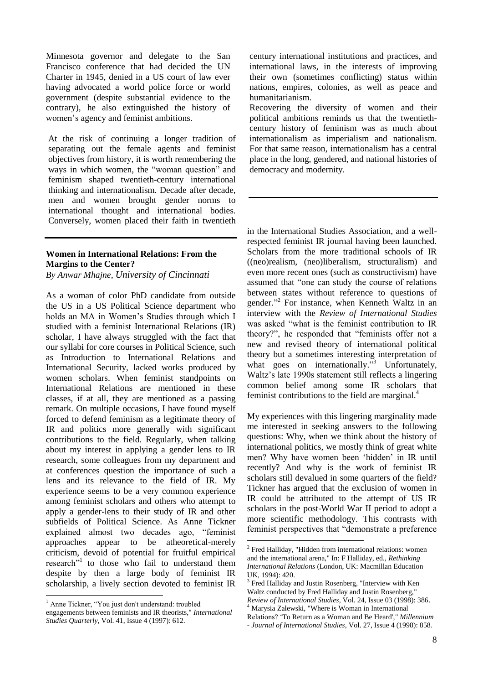Minnesota governor and delegate to the San Francisco conference that had decided the UN Charter in 1945, denied in a US court of law ever having advocated a world police force or world government (despite substantial evidence to the contrary), he also extinguished the history of women's agency and feminist ambitions.

At the risk of continuing a longer tradition of separating out the female agents and feminist objectives from history, it is worth remembering the ways in which women, the "woman question" and feminism shaped twentieth-century international thinking and internationalism. Decade after decade, men and women brought gender norms to international thought and international bodies. Conversely, women placed their faith in twentieth

## **Women in International Relations: From the Margins to the Center?**

*By Anwar Mhajne, University of Cincinnati*

As a woman of color PhD candidate from outside the US in a US Political Science department who holds an MA in Women's Studies through which I studied with a feminist International Relations (IR) scholar, I have always struggled with the fact that our syllabi for core courses in Political Science, such as Introduction to International Relations and International Security, lacked works produced by women scholars. When feminist standpoints on International Relations are mentioned in these classes, if at all, they are mentioned as a passing remark. On multiple occasions, I have found myself forced to defend feminism as a legitimate theory of IR and politics more generally with significant contributions to the field. Regularly, when talking about my interest in applying a gender lens to IR research, some colleagues from my department and at conferences question the importance of such a lens and its relevance to the field of IR. My experience seems to be a very common experience among feminist scholars and others who attempt to apply a gender-lens to their study of IR and other subfields of Political Science. As Anne Tickner explained almost two decades ago, "feminist approaches appear to be atheoretical-merely criticism, devoid of potential for fruitful empirical research"<sup>1</sup> to those who fail to understand them despite by then a large body of feminist IR scholarship, a lively section devoted to feminist IR

<u>.</u>

century international institutions and practices, and international laws, in the interests of improving their own (sometimes conflicting) status within nations, empires, colonies, as well as peace and humanitarianism.

Recovering the diversity of women and their political ambitions reminds us that the twentiethcentury history of feminism was as much about internationalism as imperialism and nationalism. For that same reason, internationalism has a central place in the long, gendered, and national histories of democracy and modernity.

in the International Studies Association, and a wellrespected feminist IR journal having been launched. Scholars from the more traditional schools of IR ((neo)realism, (neo)liberalism, structuralism) and even more recent ones (such as constructivism) have assumed that "one can study the course of relations between states without reference to questions of gender." 2 For instance, when Kenneth Waltz in an interview with the *Review of International Studies* was asked "what is the feminist contribution to IR theory?", he responded that "feminists offer not a new and revised theory of international political theory but a sometimes interesting interpretation of what goes on internationally."<sup>3</sup> Unfortunately, Waltz's late 1990s statement still reflects a lingering common belief among some IR scholars that feminist contributions to the field are marginal.<sup>4</sup>

My experiences with this lingering marginality made me interested in seeking answers to the following questions: Why, when we think about the history of international politics, we mostly think of great white men? Why have women been 'hidden' in IR until recently? And why is the work of feminist IR scholars still devalued in some quarters of the field? Tickner has argued that the exclusion of women in IR could be attributed to the attempt of US IR scholars in the post-World War II period to adopt a more scientific methodology. This contrasts with feminist perspectives that "demonstrate a preference

<sup>&</sup>lt;sup>1</sup> Anne Tickner, "You just don't understand: troubled

engagements between feminists and IR theorists," *International Studies Quarterly*, Vol. 41, Issue 4 (1997): 612.

<sup>&</sup>lt;sup>2</sup> Fred Halliday, "Hidden from international relations: women and the international arena," In: F Halliday, ed., *Rethinking International Relations* (London, UK: Macmillan Education UK, 1994): 420.

<sup>&</sup>lt;sup>3</sup> Fred Halliday and Justin Rosenberg, "Interview with Ken Waltz conducted by Fred Halliday and Justin Rosenberg," *Review of International Studies,* Vol. 24, Issue 03 (1998): 386. <sup>4</sup> Marysia Zalewski, "Where is Woman in International

Relations? 'To Return as a Woman and Be Heard'," *Millennium - Journal of International Studies,* Vol. 27, Issue 4 (1998): 858.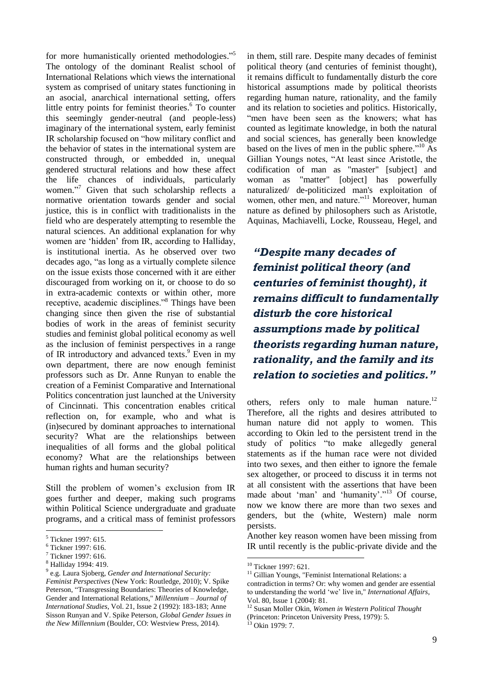for more humanistically oriented methodologies."<sup>5</sup> The ontology of the dominant Realist school of International Relations which views the international system as comprised of unitary states functioning in an asocial, anarchical international setting, offers little entry points for feminist theories. <sup>6</sup> To counter this seemingly gender-neutral (and people-less) imaginary of the international system, early feminist IR scholarship focused on "how military conflict and the behavior of states in the international system are constructed through, or embedded in, unequal gendered structural relations and how these affect the life chances of individuals, particularly women."<sup>7</sup> Given that such scholarship reflects a normative orientation towards gender and social justice, this is in conflict with traditionalists in the field who are desperately attempting to resemble the natural sciences. An additional explanation for why women are 'hidden' from IR, according to Halliday, is institutional inertia. As he observed over two decades ago, "as long as a virtually complete silence on the issue exists those concerned with it are either discouraged from working on it, or choose to do so in extra-academic contexts or within other, more receptive, academic disciplines."<sup>8</sup> Things have been changing since then given the rise of substantial bodies of work in the areas of feminist security studies and feminist global political economy as well as the inclusion of feminist perspectives in a range of IR introductory and advanced texts. <sup>9</sup> Even in my own department, there are now enough feminist professors such as Dr. Anne Runyan to enable the creation of a Feminist Comparative and International Politics concentration just launched at the University of Cincinnati. This concentration enables critical reflection on, for example, who and what is (in)secured by dominant approaches to international security? What are the relationships between inequalities of all forms and the global political economy? What are the relationships between human rights and human security?

Still the problem of women's exclusion from IR goes further and deeper, making such programs within Political Science undergraduate and graduate programs, and a critical mass of feminist professors

1

in them, still rare. Despite many decades of feminist political theory (and centuries of feminist thought), it remains difficult to fundamentally disturb the core historical assumptions made by political theorists regarding human nature, rationality, and the family and its relation to societies and politics. Historically, "men have been seen as the knowers; what has counted as legitimate knowledge, in both the natural and social sciences, has generally been knowledge based on the lives of men in the public sphere." <sup>10</sup> As Gillian Youngs notes, "At least since Aristotle, the codification of man as "master" [subject] and woman as "matter" [object] has powerfully naturalized/ de-politicized man's exploitation of women, other men, and nature."<sup>11</sup> Moreover, human nature as defined by philosophers such as Aristotle, Aquinas, Machiavelli, Locke, Rousseau, Hegel, and

*"Despite many decades of feminist political theory (and centuries of feminist thought), it remains difficult to fundamentally disturb the core historical assumptions made by political theorists regarding human nature, rationality, and the family and its relation to societies and politics."*

others, refers only to male human nature.<sup>12</sup> Therefore, all the rights and desires attributed to human nature did not apply to women. This according to Okin led to the persistent trend in the study of politics "to make allegedly general statements as if the human race were not divided into two sexes, and then either to ignore the female sex altogether, or proceed to discuss it in terms not at all consistent with the assertions that have been made about 'man' and 'humanity'."<sup>13</sup> Of course, now we know there are more than two sexes and genders, but the (white, Western) male norm persists.

Another key reason women have been missing from IR until recently is the public-private divide and the

<sup>5</sup> Tickner 1997: 615.

<sup>6</sup> Tickner 1997: 616.

<sup>7</sup> Tickner 1997: 616.

<sup>8</sup> Halliday 1994: 419.

<sup>9</sup> e.g. Laura Sjoberg, *Gender and International Security: Feminist Perspectives* (New York: Routledge, 2010); V. Spike Peterson, "Transgressing Boundaries: Theories of Knowledge, Gender and International Relations," *Millennium – Journal of International Studies*, Vol. 21, Issue 2 (1992): 183-183; Anne Sisson Runyan and V. Spike Peterson, *Global Gender Issues in the New Millennium* (Boulder, CO: Westview Press, 2014).

<sup>10</sup> Tickner 1997: 621.

 $11$  Gillian Youngs, "Feminist International Relations: a contradiction in terms? Or: why women and gender are essential to understanding the world 'we' live in," *International Affairs*, Vol. 80, Issue 1 (2004): 81.

<sup>12</sup> Susan Moller Okin, *Women in Western Political Thought* (Princeton: Princeton University Press, 1979): 5.

 $^{13}$  Okin 1979: 7.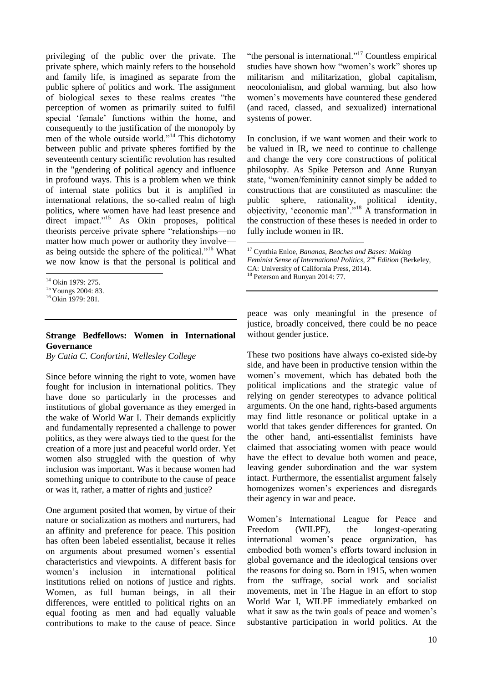privileging of the public over the private. The private sphere, which mainly refers to the household and family life, is imagined as separate from the public sphere of politics and work. The assignment of biological sexes to these realms creates "the perception of women as primarily suited to fulfil special 'female' functions within the home, and consequently to the justification of the monopoly by men of the whole outside world."<sup>14</sup> This dichotomy between public and private spheres fortified by the seventeenth century scientific revolution has resulted in the "gendering of political agency and influence in profound ways. This is a problem when we think of internal state politics but it is amplified in international relations, the so-called realm of high politics, where women have had least presence and direct impact."<sup>15</sup> As Okin proposes, political theorists perceive private sphere "relationships—no matter how much power or authority they involve as being outside the sphere of the political."<sup>16</sup> What we now know is that the personal is political and

### **Strange Bedfellows: Women in International Governance**

*By Catia C. Confortini, Wellesley College*

Since before winning the right to vote, women have fought for inclusion in international politics. They have done so particularly in the processes and institutions of global governance as they emerged in the wake of World War I. Their demands explicitly and fundamentally represented a challenge to power politics, as they were always tied to the quest for the creation of a more just and peaceful world order. Yet women also struggled with the question of why inclusion was important. Was it because women had something unique to contribute to the cause of peace or was it, rather, a matter of rights and justice?

One argument posited that women, by virtue of their nature or socialization as mothers and nurturers, had an affinity and preference for peace. This position has often been labeled essentialist, because it relies on arguments about presumed women's essential characteristics and viewpoints. A different basis for women's inclusion in international political institutions relied on notions of justice and rights. Women, as full human beings, in all their differences, were entitled to political rights on an equal footing as men and had equally valuable contributions to make to the cause of peace. Since

"the personal is international."<sup>17</sup> Countless empirical studies have shown how "women's work" shores up militarism and militarization, global capitalism, neocolonialism, and global warming, but also how women's movements have countered these gendered (and raced, classed, and sexualized) international systems of power.

In conclusion, if we want women and their work to be valued in IR, we need to continue to challenge and change the very core constructions of political philosophy. As Spike Peterson and Anne Runyan state, "women/femininity cannot simply be added to constructions that are constituted as masculine: the public sphere, rationality, political identity, objectivity, 'economic man'."<sup>18</sup> A transformation in the construction of these theses is needed in order to fully include women in IR.

<sup>17</sup> Cynthia Enloe, *Bananas, Beaches and Bases: Making Feminist Sense of International Politics, 2nd Edition* (Berkeley, CA: University of California Press, 2014). <sup>18</sup> Peterson and Runyan 2014: 77.

1

peace was only meaningful in the presence of justice, broadly conceived, there could be no peace without gender justice.

These two positions have always co-existed side-by side, and have been in productive tension within the women's movement, which has debated both the political implications and the strategic value of relying on gender stereotypes to advance political arguments. On the one hand, rights-based arguments may find little resonance or political uptake in a world that takes gender differences for granted. On the other hand, anti-essentialist feminists have claimed that associating women with peace would have the effect to devalue both women and peace, leaving gender subordination and the war system intact. Furthermore, the essentialist argument falsely homogenizes women's experiences and disregards their agency in war and peace.

Women's International League for Peace and Freedom (WILPF), the longest-operating international women's peace organization, has embodied both women's efforts toward inclusion in global governance and the ideological tensions over the reasons for doing so. Born in 1915, when women from the suffrage, social work and socialist movements, met in The Hague in an effort to stop World War I, WILPF immediately embarked on what it saw as the twin goals of peace and women's substantive participation in world politics. At the

<sup>&</sup>lt;u>.</u> <sup>14</sup> Okin 1979: 275.

<sup>&</sup>lt;sup>15</sup> Youngs 2004: 83.

 $16$  Okin 1979: 281.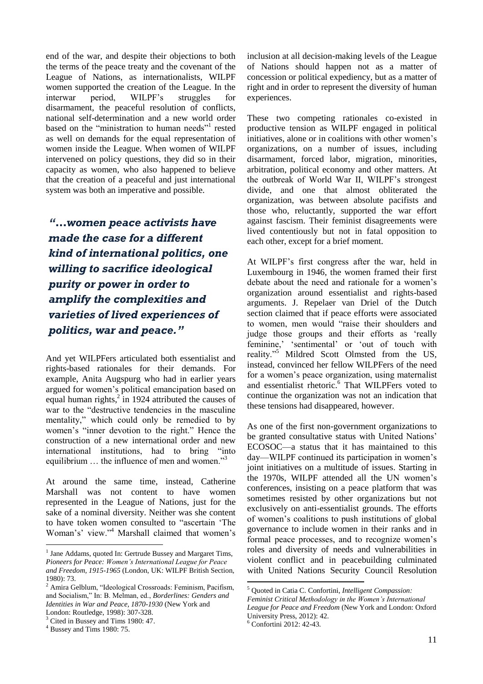end of the war, and despite their objections to both the terms of the peace treaty and the covenant of the League of Nations, as internationalists, WILPF women supported the creation of the League. In the interwar period, WILPF's struggles for disarmament, the peaceful resolution of conflicts, national self-determination and a new world order based on the "ministration to human needs"<sup>1</sup> rested as well on demands for the equal representation of women inside the League. When women of WILPF intervened on policy questions, they did so in their capacity as women, who also happened to believe that the creation of a peaceful and just international system was both an imperative and possible.

*"…women peace activists have made the case for a different kind of international politics, one willing to sacrifice ideological purity or power in order to amplify the complexities and varieties of lived experiences of politics, war and peace."*

And yet WILPFers articulated both essentialist and rights-based rationales for their demands. For example, Anita Augspurg who had in earlier years argued for women's political emancipation based on equal human rights, 2 in 1924 attributed the causes of war to the "destructive tendencies in the masculine mentality," which could only be remedied to by women's "inner devotion to the right." Hence the construction of a new international order and new international institutions, had to bring "into equilibrium … the influence of men and women."<sup>3</sup>

At around the same time, instead, Catherine Marshall was not content to have women represented in the League of Nations, just for the sake of a nominal diversity. Neither was she content to have token women consulted to "ascertain 'The Woman's' view."<sup>4</sup> Marshall claimed that women's

<sup>3</sup> Cited in Bussey and Tims 1980: 47.

1

inclusion at all decision-making levels of the League of Nations should happen not as a matter of concession or political expediency, but as a matter of right and in order to represent the diversity of human experiences.

These two competing rationales co-existed in productive tension as WILPF engaged in political initiatives, alone or in coalitions with other women's organizations, on a number of issues, including disarmament, forced labor, migration, minorities, arbitration, political economy and other matters. At the outbreak of World War II, WILPF's strongest divide, and one that almost obliterated the organization, was between absolute pacifists and those who, reluctantly, supported the war effort against fascism. Their feminist disagreements were lived contentiously but not in fatal opposition to each other, except for a brief moment.

At WILPF's first congress after the war, held in Luxembourg in 1946, the women framed their first debate about the need and rationale for a women's organization around essentialist and rights-based arguments. J. Repelaer van Driel of the Dutch section claimed that if peace efforts were associated to women, men would "raise their shoulders and judge those groups and their efforts as 'really feminine,' 'sentimental' or 'out of touch with reality."<sup>5</sup> Mildred Scott Olmsted from the US, instead, convinced her fellow WILPFers of the need for a women's peace organization, using maternalist and essentialist rhetoric. <sup>6</sup> That WILPFers voted to continue the organization was not an indication that these tensions had disappeared, however.

As one of the first non-government organizations to be granted consultative status with United Nations' ECOSOC—a status that it has maintained to this day—WILPF continued its participation in women's joint initiatives on a multitude of issues. Starting in the 1970s, WILPF attended all the UN women's conferences, insisting on a peace platform that was sometimes resisted by other organizations but not exclusively on anti-essentialist grounds. The efforts of women's coalitions to push institutions of global governance to include women in their ranks and in formal peace processes, and to recognize women's roles and diversity of needs and vulnerabilities in violent conflict and in peacebuilding culminated with United Nations Security Council Resolution

<sup>&</sup>lt;sup>1</sup> Jane Addams, quoted In: Gertrude Bussey and Margaret Tims, *Pioneers for Peace: Women's International League for Peace and Freedom, 1915-1965* (London, UK: WILPF British Section, 1980): 73.

<sup>2</sup> Amira Gelblum, "Ideological Crossroads: Feminism, Pacifism, and Socialism," In: B. Melman, ed., *Borderlines: Genders and Identities in War and Peace, 1870-1930* (New York and London: Routledge, 1998): 307-328.

<sup>4</sup> Bussey and Tims 1980: 75.

<sup>5</sup> Quoted in Catia C. Confortini, *Intelligent Compassion: Feminist Critical Methodology in the Women's International League for Peace and Freedom* (New York and London: Oxford University Press, 2012): 42.

<sup>6</sup> Confortini 2012: 42-43.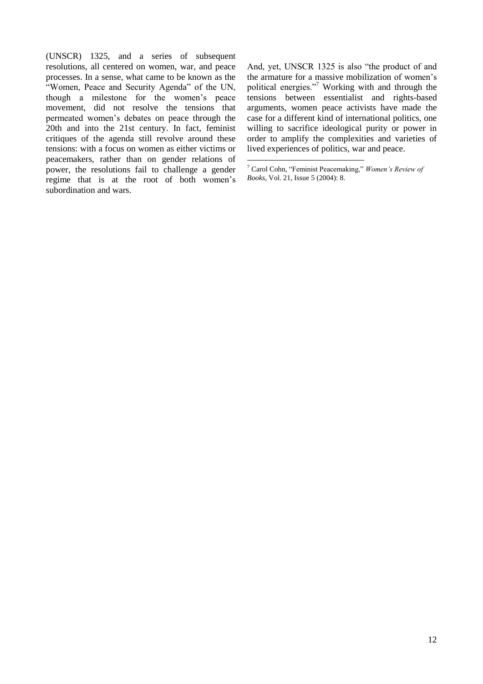(UNSCR) 1325, and a series of subsequent resolutions, all centered on women, war, and peace processes. In a sense, what came to be known as the "Women, Peace and Security Agenda" of the UN, though a milestone for the women's peace movement, did not resolve the tensions that permeated women's debates on peace through the 20th and into the 21st century. In fact, feminist critiques of the agenda still revolve around these tensions: with a focus on women as either victims or peacemakers, rather than on gender relations of power, the resolutions fail to challenge a gender regime that is at the root of both women's subordination and wars.

And, yet, UNSCR 1325 is also "the product of and the armature for a massive mobilization of women's political energies."<sup>7</sup> Working with and through the tensions between essentialist and rights-based arguments, women peace activists have made the case for a different kind of international politics, one willing to sacrifice ideological purity or power in order to amplify the complexities and varieties of lived experiences of politics, war and peace.

<sup>7</sup> Carol Cohn, "Feminist Peacemaking," *Women's Review of Books*, Vol. 21, Issue 5 (2004): 8.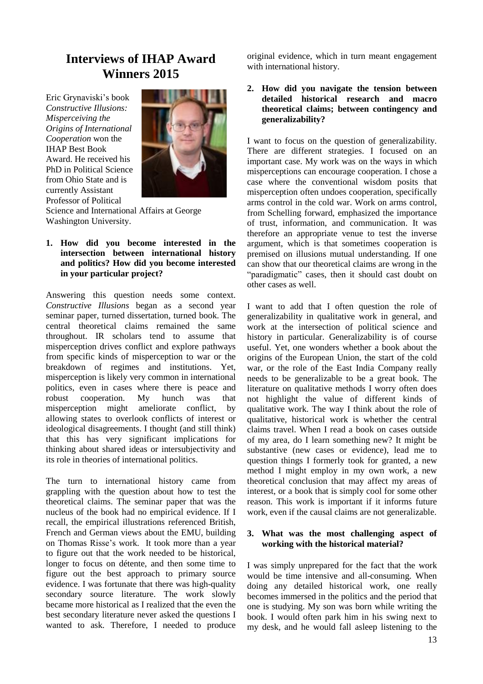## **Interviews of IHAP Award Winners 2015**

Eric Grynaviski's book *Constructive Illusions: Misperceiving the Origins of International Cooperation* won the IHAP Best Book Award. He received his PhD in Political Science from Ohio State and is currently Assistant Professor of Political



Science and International Affairs at George Washington University.

**1. How did you become interested in the intersection between international history and politics? How did you become interested in your particular project?**

Answering this question needs some context. *Constructive Illusions* began as a second year seminar paper, turned dissertation, turned book. The central theoretical claims remained the same throughout. IR scholars tend to assume that misperception drives conflict and explore pathways from specific kinds of misperception to war or the breakdown of regimes and institutions. Yet, misperception is likely very common in international politics, even in cases where there is peace and robust cooperation. My hunch was that misperception might ameliorate conflict, by allowing states to overlook conflicts of interest or ideological disagreements. I thought (and still think) that this has very significant implications for thinking about shared ideas or intersubjectivity and its role in theories of international politics.

The turn to international history came from grappling with the question about how to test the theoretical claims. The seminar paper that was the nucleus of the book had no empirical evidence. If I recall, the empirical illustrations referenced British, French and German views about the EMU, building on Thomas Risse's work. It took more than a year to figure out that the work needed to be historical, longer to focus on détente, and then some time to figure out the best approach to primary source evidence. I was fortunate that there was high-quality secondary source literature. The work slowly became more historical as I realized that the even the best secondary literature never asked the questions I wanted to ask. Therefore, I needed to produce

original evidence, which in turn meant engagement with international history.

**2. How did you navigate the tension between detailed historical research and macro theoretical claims; between contingency and generalizability?**

I want to focus on the question of generalizability. There are different strategies. I focused on an important case. My work was on the ways in which misperceptions can encourage cooperation. I chose a case where the conventional wisdom posits that misperception often undoes cooperation, specifically arms control in the cold war. Work on arms control, from Schelling forward, emphasized the importance of trust, information, and communication. It was therefore an appropriate venue to test the inverse argument, which is that sometimes cooperation is premised on illusions mutual understanding. If one can show that our theoretical claims are wrong in the "paradigmatic" cases, then it should cast doubt on other cases as well.

I want to add that I often question the role of generalizability in qualitative work in general, and work at the intersection of political science and history in particular. Generalizability is of course useful. Yet, one wonders whether a book about the origins of the European Union, the start of the cold war, or the role of the East India Company really needs to be generalizable to be a great book. The literature on qualitative methods I worry often does not highlight the value of different kinds of qualitative work. The way I think about the role of qualitative, historical work is whether the central claims travel. When I read a book on cases outside of my area, do I learn something new? It might be substantive (new cases or evidence), lead me to question things I formerly took for granted, a new method I might employ in my own work, a new theoretical conclusion that may affect my areas of interest, or a book that is simply cool for some other reason. This work is important if it informs future work, even if the causal claims are not generalizable.

#### **3. What was the most challenging aspect of working with the historical material?**

I was simply unprepared for the fact that the work would be time intensive and all-consuming. When doing any detailed historical work, one really becomes immersed in the politics and the period that one is studying. My son was born while writing the book. I would often park him in his swing next to my desk, and he would fall asleep listening to the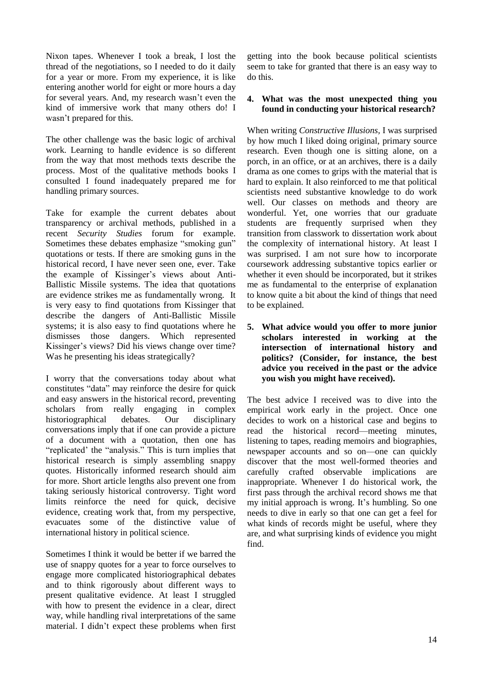Nixon tapes. Whenever I took a break, I lost the thread of the negotiations, so I needed to do it daily for a year or more. From my experience, it is like entering another world for eight or more hours a day for several years. And, my research wasn't even the kind of immersive work that many others do! I wasn't prepared for this.

The other challenge was the basic logic of archival work. Learning to handle evidence is so different from the way that most methods texts describe the process. Most of the qualitative methods books I consulted I found inadequately prepared me for handling primary sources.

Take for example the current debates about transparency or archival methods, published in a recent *Security Studies* forum for example. Sometimes these debates emphasize "smoking gun" quotations or tests. If there are smoking guns in the historical record, I have never seen one, ever. Take the example of Kissinger's views about Anti-Ballistic Missile systems. The idea that quotations are evidence strikes me as fundamentally wrong. It is very easy to find quotations from Kissinger that describe the dangers of Anti-Ballistic Missile systems; it is also easy to find quotations where he dismisses those dangers. Which represented Kissinger's views? Did his views change over time? Was he presenting his ideas strategically?

I worry that the conversations today about what constitutes "data" may reinforce the desire for quick and easy answers in the historical record, preventing scholars from really engaging in complex historiographical debates. Our disciplinary conversations imply that if one can provide a picture of a document with a quotation, then one has "replicated' the "analysis." This is turn implies that historical research is simply assembling snappy quotes. Historically informed research should aim for more. Short article lengths also prevent one from taking seriously historical controversy. Tight word limits reinforce the need for quick, decisive evidence, creating work that, from my perspective, evacuates some of the distinctive value of international history in political science.

Sometimes I think it would be better if we barred the use of snappy quotes for a year to force ourselves to engage more complicated historiographical debates and to think rigorously about different ways to present qualitative evidence. At least I struggled with how to present the evidence in a clear, direct way, while handling rival interpretations of the same material. I didn't expect these problems when first

getting into the book because political scientists seem to take for granted that there is an easy way to do this.

#### **4. What was the most unexpected thing you found in conducting your historical research?**

When writing *Constructive Illusions,* I was surprised by how much I liked doing original, primary source research. Even though one is sitting alone, on a porch, in an office, or at an archives, there is a daily drama as one comes to grips with the material that is hard to explain. It also reinforced to me that political scientists need substantive knowledge to do work well. Our classes on methods and theory are wonderful. Yet, one worries that our graduate students are frequently surprised when they transition from classwork to dissertation work about the complexity of international history. At least I was surprised. I am not sure how to incorporate coursework addressing substantive topics earlier or whether it even should be incorporated, but it strikes me as fundamental to the enterprise of explanation to know quite a bit about the kind of things that need to be explained.

**5. What advice would you offer to more junior scholars interested in working at the intersection of international history and politics? (Consider, for instance, the best advice you received in the past or the advice you wish you might have received).**

The best advice I received was to dive into the empirical work early in the project. Once one decides to work on a historical case and begins to read the historical record—meeting minutes, listening to tapes, reading memoirs and biographies, newspaper accounts and so on—one can quickly discover that the most well-formed theories and carefully crafted observable implications are inappropriate. Whenever I do historical work, the first pass through the archival record shows me that my initial approach is wrong. It's humbling. So one needs to dive in early so that one can get a feel for what kinds of records might be useful, where they are, and what surprising kinds of evidence you might find.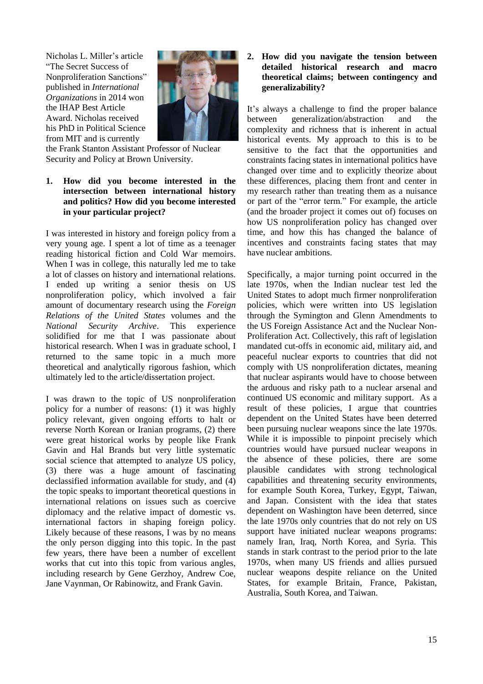Nicholas L. Miller's article "The Secret Success of Nonproliferation Sanctions" published in *International Organizations* in 2014 won the IHAP Best Article Award. Nicholas received his PhD in Political Science from MIT and is currently



the Frank Stanton Assistant Professor of Nuclear Security and Policy at Brown University.

#### **1. How did you become interested in the intersection between international history and politics? How did you become interested in your particular project?**

I was interested in history and foreign policy from a very young age. I spent a lot of time as a teenager reading historical fiction and Cold War memoirs. When I was in college, this naturally led me to take a lot of classes on history and international relations. I ended up writing a senior thesis on US nonproliferation policy, which involved a fair amount of documentary research using the *Foreign Relations of the United States* volumes and the *National Security Archive*. This experience solidified for me that I was passionate about historical research. When I was in graduate school, I returned to the same topic in a much more theoretical and analytically rigorous fashion, which ultimately led to the article/dissertation project.

I was drawn to the topic of US nonproliferation policy for a number of reasons: (1) it was highly policy relevant, given ongoing efforts to halt or reverse North Korean or Iranian programs, (2) there were great historical works by people like Frank Gavin and Hal Brands but very little systematic social science that attempted to analyze US policy, (3) there was a huge amount of fascinating declassified information available for study, and (4) the topic speaks to important theoretical questions in international relations on issues such as coercive diplomacy and the relative impact of domestic vs. international factors in shaping foreign policy. Likely because of these reasons, I was by no means the only person digging into this topic. In the past few years, there have been a number of excellent works that cut into this topic from various angles, including research by Gene Gerzhoy, Andrew Coe, Jane Vaynman, Or Rabinowitz, and Frank Gavin.

#### **2. How did you navigate the tension between detailed historical research and macro theoretical claims; between contingency and generalizability?**

It's always a challenge to find the proper balance between generalization/abstraction and the complexity and richness that is inherent in actual historical events. My approach to this is to be sensitive to the fact that the opportunities and constraints facing states in international politics have changed over time and to explicitly theorize about these differences, placing them front and center in my research rather than treating them as a nuisance or part of the "error term." For example, the article (and the broader project it comes out of) focuses on how US nonproliferation policy has changed over time, and how this has changed the balance of incentives and constraints facing states that may have nuclear ambitions.

Specifically, a major turning point occurred in the late 1970s, when the Indian nuclear test led the United States to adopt much firmer nonproliferation policies, which were written into US legislation through the Symington and Glenn Amendments to the US Foreign Assistance Act and the Nuclear Non-Proliferation Act. Collectively, this raft of legislation mandated cut-offs in economic aid, military aid, and peaceful nuclear exports to countries that did not comply with US nonproliferation dictates, meaning that nuclear aspirants would have to choose between the arduous and risky path to a nuclear arsenal and continued US economic and military support. As a result of these policies, I argue that countries dependent on the United States have been deterred been pursuing nuclear weapons since the late 1970s. While it is impossible to pinpoint precisely which countries would have pursued nuclear weapons in the absence of these policies, there are some plausible candidates with strong technological capabilities and threatening security environments, for example South Korea, Turkey, Egypt, Taiwan, and Japan. Consistent with the idea that states dependent on Washington have been deterred, since the late 1970s only countries that do not rely on US support have initiated nuclear weapons programs: namely Iran, Iraq, North Korea, and Syria. This stands in stark contrast to the period prior to the late 1970s, when many US friends and allies pursued nuclear weapons despite reliance on the United States, for example Britain, France, Pakistan, Australia, South Korea, and Taiwan.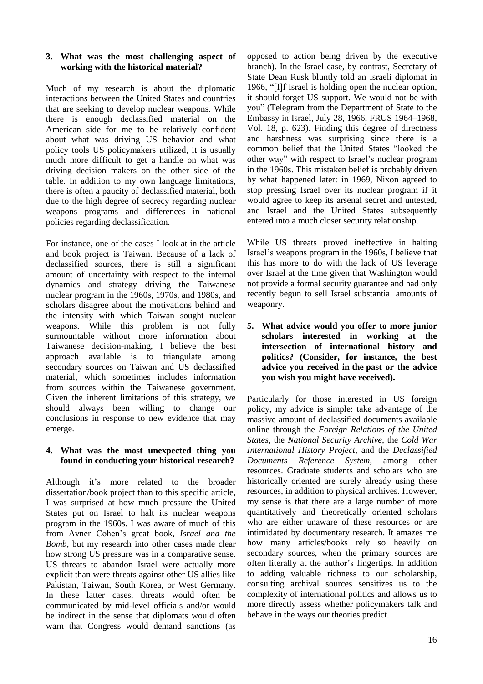#### **3. What was the most challenging aspect of working with the historical material?**

Much of my research is about the diplomatic interactions between the United States and countries that are seeking to develop nuclear weapons. While there is enough declassified material on the American side for me to be relatively confident about what was driving US behavior and what policy tools US policymakers utilized, it is usually much more difficult to get a handle on what was driving decision makers on the other side of the table. In addition to my own language limitations, there is often a paucity of declassified material, both due to the high degree of secrecy regarding nuclear weapons programs and differences in national policies regarding declassification.

For instance, one of the cases I look at in the article and book project is Taiwan. Because of a lack of declassified sources, there is still a significant amount of uncertainty with respect to the internal dynamics and strategy driving the Taiwanese nuclear program in the 1960s, 1970s, and 1980s, and scholars disagree about the motivations behind and the intensity with which Taiwan sought nuclear weapons. While this problem is not fully surmountable without more information about Taiwanese decision-making, I believe the best approach available is to triangulate among secondary sources on Taiwan and US declassified material, which sometimes includes information from sources within the Taiwanese government. Given the inherent limitations of this strategy, we should always been willing to change our conclusions in response to new evidence that may emerge.

#### **4. What was the most unexpected thing you found in conducting your historical research?**

Although it's more related to the broader dissertation/book project than to this specific article, I was surprised at how much pressure the United States put on Israel to halt its nuclear weapons program in the 1960s. I was aware of much of this from Avner Cohen's great book, *Israel and the Bomb*, but my research into other cases made clear how strong US pressure was in a comparative sense. US threats to abandon Israel were actually more explicit than were threats against other US allies like Pakistan, Taiwan, South Korea, or West Germany. In these latter cases, threats would often be communicated by mid-level officials and/or would be indirect in the sense that diplomats would often warn that Congress would demand sanctions (as

opposed to action being driven by the executive branch). In the Israel case, by contrast, Secretary of State Dean Rusk bluntly told an Israeli diplomat in 1966, "[I]f Israel is holding open the nuclear option, it should forget US support. We would not be with you" (Telegram from the Department of State to the Embassy in Israel, July 28, 1966, FRUS 1964–1968, Vol. 18, p. 623). Finding this degree of directness and harshness was surprising since there is a common belief that the United States "looked the other way" with respect to Israel's nuclear program in the 1960s. This mistaken belief is probably driven by what happened later: in 1969, Nixon agreed to stop pressing Israel over its nuclear program if it would agree to keep its arsenal secret and untested, and Israel and the United States subsequently entered into a much closer security relationship.

While US threats proved ineffective in halting Israel's weapons program in the 1960s, I believe that this has more to do with the lack of US leverage over Israel at the time given that Washington would not provide a formal security guarantee and had only recently begun to sell Israel substantial amounts of weaponry.

**5. What advice would you offer to more junior scholars interested in working at the intersection of international history and politics? (Consider, for instance, the best advice you received in the past or the advice you wish you might have received).**

Particularly for those interested in US foreign policy, my advice is simple: take advantage of the massive amount of declassified documents available online through the *Foreign Relations of the United States*, the *National Security Archive,* the *Cold War International History Project,* and the *Declassified Documents Reference System*, among other resources. Graduate students and scholars who are historically oriented are surely already using these resources, in addition to physical archives. However, my sense is that there are a large number of more quantitatively and theoretically oriented scholars who are either unaware of these resources or are intimidated by documentary research. It amazes me how many articles/books rely so heavily on secondary sources, when the primary sources are often literally at the author's fingertips. In addition to adding valuable richness to our scholarship, consulting archival sources sensitizes us to the complexity of international politics and allows us to more directly assess whether policymakers talk and behave in the ways our theories predict.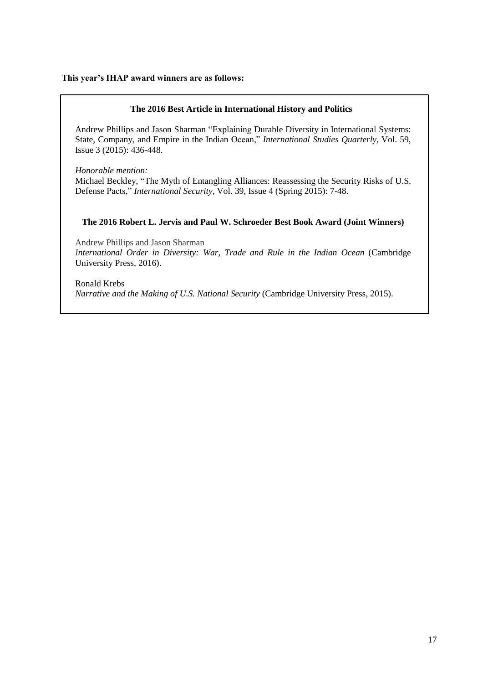#### **This year's IHAP award winners are as follows:**

#### **The 2016 Best Article in International History and Politics**

Andrew Phillips and Jason Sharman "Explaining Durable Diversity in International Systems: State, Company, and Empire in the Indian Ocean," *International Studies Quarterly,* Vol. 59, Issue 3 (2015): 436-448.

*Honorable mention:* Michael Beckley, "The Myth of Entangling Alliances: Reassessing the Security Risks of U.S. Defense Pacts," *International Security,* Vol. 39, Issue 4 (Spring 2015): 7-48.

#### **The 2016 Robert L. Jervis and Paul W. Schroeder Best Book Award (Joint Winners)**

Andrew Phillips and Jason Sharman *International Order in Diversity: War, Trade and Rule in the Indian Ocean* (Cambridge University Press, 2016).

Ronald Krebs *Narrative and the Making of U.S. National Security* (Cambridge University Press, 2015).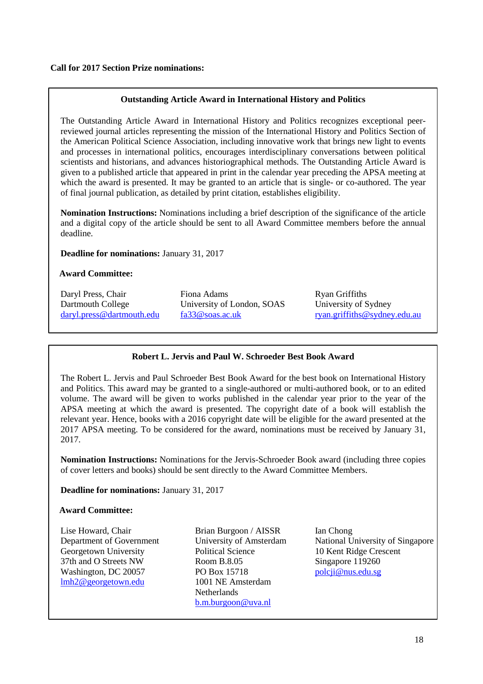### **Outstanding Article Award in International History and Politics**

The Outstanding Article Award in International History and Politics recognizes exceptional peerreviewed journal articles representing the mission of the International History and Politics Section of the American Political Science Association, including innovative work that brings new light to events and processes in international politics, encourages interdisciplinary conversations between political scientists and historians, and advances historiographical methods. The Outstanding Article Award is given to a published article that appeared in print in the calendar year preceding the APSA meeting at which the award is presented. It may be granted to an article that is single- or co-authored. The year of final journal publication, as detailed by print citation, establishes eligibility.

**Nomination Instructions:** Nominations including a brief description of the significance of the article and a digital copy of the article should be sent to all Award Committee members before the annual deadline.

**Deadline for nominations:** January 31, 2017

#### **Award Committee:**

Daryl Press, Chair Dartmouth College [daryl.press@dartmouth.edu](mailto:daryl.press@dartmouth.edu) Fiona Adams University of London, SOAS [fa33@soas.ac.uk](mailto:fa33@soas.ac.uk)

Ryan Griffiths University of Sydney [ryan.griffiths@sydney.edu.au](mailto:ryan.griffiths@sydney.edu.au)

### **Robert L. Jervis and Paul W. Schroeder Best Book Award**

The Robert L. Jervis and Paul Schroeder Best Book Award for the best book on International History and Politics. This award may be granted to a single-authored or multi-authored book, or to an edited volume. The award will be given to works published in the calendar year prior to the year of the APSA meeting at which the award is presented. The copyright date of a book will establish the relevant year. Hence, books with a 2016 copyright date will be eligible for the award presented at the 2017 APSA meeting. To be considered for the award, nominations must be received by January 31, 2017.

**Nomination Instructions:** Nominations for the Jervis-Schroeder Book award (including three copies of cover letters and books) should be sent directly to the Award Committee Members.

**Deadline for nominations:** January 31, 2017

#### **Award Committee:**

Lise Howard, Chair Department of Government Georgetown University 37th and O Streets NW Washington, DC 20057 [lmh2@georgetown.edu](mailto:lmh2@georgetown.edu)

Brian Burgoon / AISSR University of Amsterdam Political Science Room B.8.05 PO Box 15718 1001 NE Amsterdam **Netherlands** [b.m.burgoon@uva.nl](mailto:b.m.burgoon@uva.nl)

Ian Chong National University of Singapore 10 Kent Ridge Crescent Singapore 119260 [polcji@nus.edu.sg](mailto:polcji@nus.edu.sg)